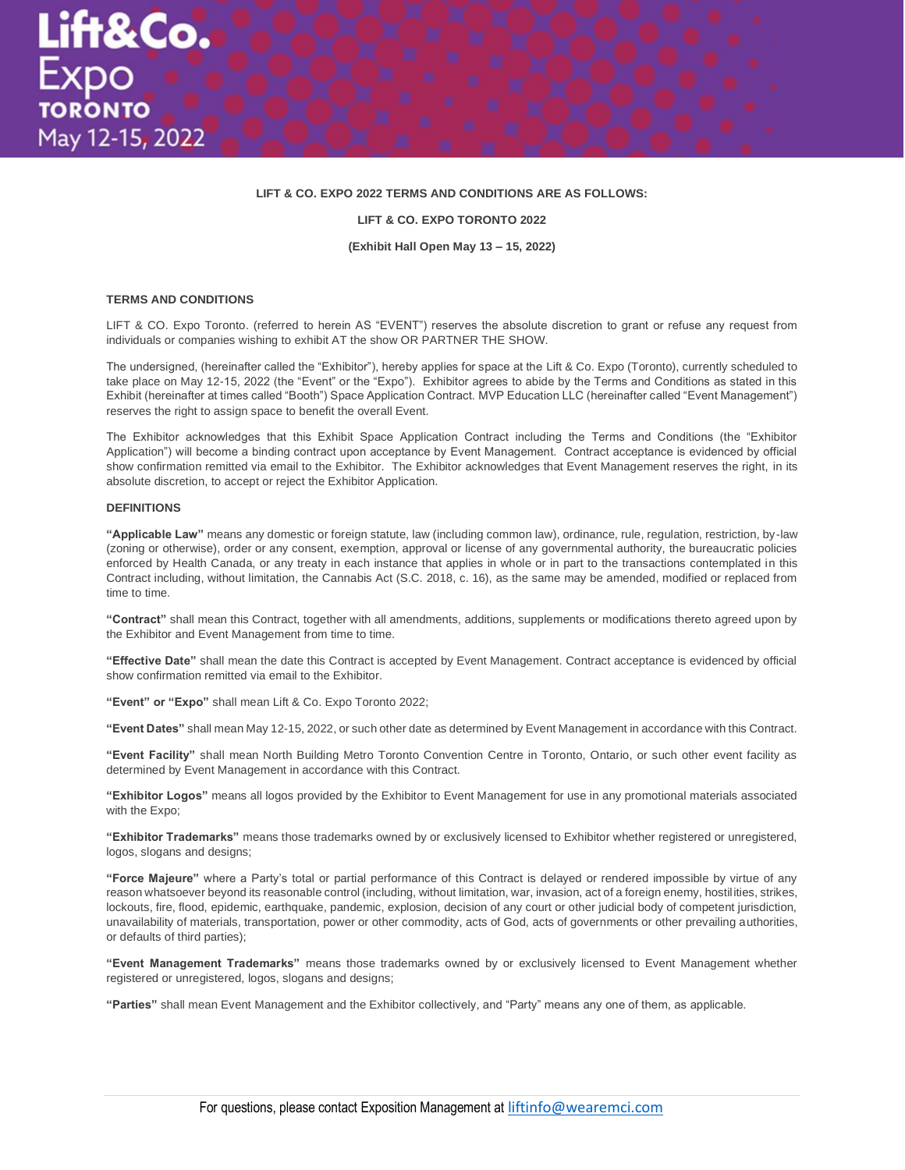# **LIFT & CO. EXPO 2022 TERMS AND CONDITIONS ARE AS FOLLOWS:**

#### **LIFT & CO. EXPO TORONTO 2022**

**(Exhibit Hall Open May 13 – 15, 2022)**

#### **TERMS AND CONDITIONS**

LIFT & CO. Expo Toronto. (referred to herein AS "EVENT") reserves the absolute discretion to grant or refuse any request from individuals or companies wishing to exhibit AT the show OR PARTNER THE SHOW.

The undersigned, (hereinafter called the "Exhibitor"), hereby applies for space at the Lift & Co. Expo (Toronto), currently scheduled to take place on May 12-15, 2022 (the "Event" or the "Expo"). Exhibitor agrees to abide by the Terms and Conditions as stated in this Exhibit (hereinafter at times called "Booth") Space Application Contract. MVP Education LLC (hereinafter called "Event Management") reserves the right to assign space to benefit the overall Event.

The Exhibitor acknowledges that this Exhibit Space Application Contract including the Terms and Conditions (the "Exhibitor Application") will become a binding contract upon acceptance by Event Management. Contract acceptance is evidenced by official show confirmation remitted via email to the Exhibitor. The Exhibitor acknowledges that Event Management reserves the right, in its absolute discretion, to accept or reject the Exhibitor Application.

#### **DEFINITIONS**

**"Applicable Law"** means any domestic or foreign statute, law (including common law), ordinance, rule, regulation, restriction, by-law (zoning or otherwise), order or any consent, exemption, approval or license of any governmental authority, the bureaucratic policies enforced by Health Canada, or any treaty in each instance that applies in whole or in part to the transactions contemplated in this Contract including, without limitation, the Cannabis Act (S.C. 2018, c. 16), as the same may be amended, modified or replaced from time to time.

**"Contract"** shall mean this Contract, together with all amendments, additions, supplements or modifications thereto agreed upon by the Exhibitor and Event Management from time to time.

**"Effective Date"** shall mean the date this Contract is accepted by Event Management. Contract acceptance is evidenced by official show confirmation remitted via email to the Exhibitor.

**"Event" or "Expo"** shall mean Lift & Co. Expo Toronto 2022;

**"Event Dates"** shall mean May 12-15, 2022, or such other date as determined by Event Management in accordance with this Contract.

**"Event Facility"** shall mean North Building Metro Toronto Convention Centre in Toronto, Ontario, or such other event facility as determined by Event Management in accordance with this Contract.

**"Exhibitor Logos"** means all logos provided by the Exhibitor to Event Management for use in any promotional materials associated with the Expo;

**"Exhibitor Trademarks"** means those trademarks owned by or exclusively licensed to Exhibitor whether registered or unregistered, logos, slogans and designs;

**"Force Majeure"** where a Party's total or partial performance of this Contract is delayed or rendered impossible by virtue of any reason whatsoever beyond its reasonable control (including, without limitation, war, invasion, act of a foreign enemy, hostilities, strikes, lockouts, fire, flood, epidemic, earthquake, pandemic, explosion, decision of any court or other judicial body of competent jurisdiction, unavailability of materials, transportation, power or other commodity, acts of God, acts of governments or other prevailing authorities, or defaults of third parties);

**"Event Management Trademarks"** means those trademarks owned by or exclusively licensed to Event Management whether registered or unregistered, logos, slogans and designs;

**"Parties"** shall mean Event Management and the Exhibitor collectively, and "Party" means any one of them, as applicable.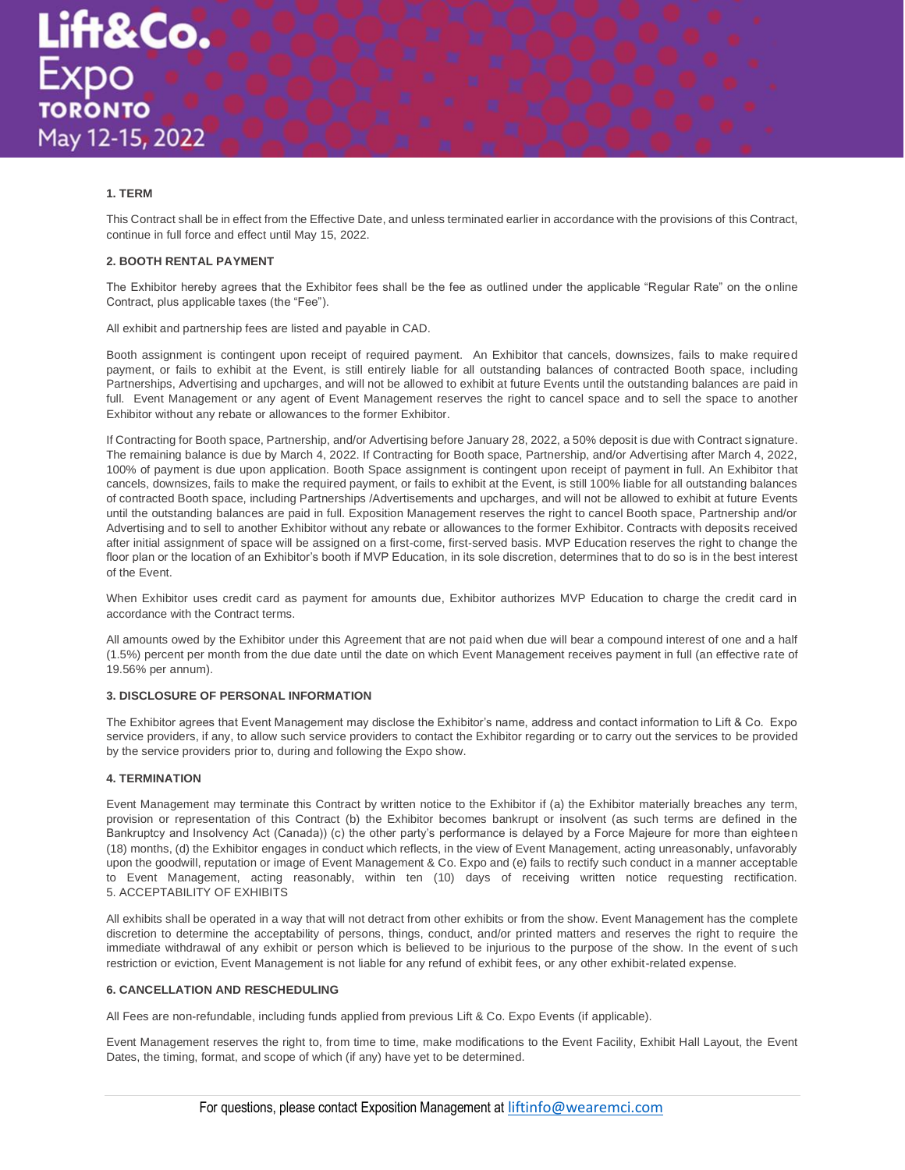# **1. TERM**

This Contract shall be in effect from the Effective Date, and unless terminated earlier in accordance with the provisions of this Contract, continue in full force and effect until May 15, 2022.

#### **2. BOOTH RENTAL PAYMENT**

The Exhibitor hereby agrees that the Exhibitor fees shall be the fee as outlined under the applicable "Regular Rate" on the online Contract, plus applicable taxes (the "Fee").

All exhibit and partnership fees are listed and payable in CAD.

Booth assignment is contingent upon receipt of required payment. An Exhibitor that cancels, downsizes, fails to make required payment, or fails to exhibit at the Event, is still entirely liable for all outstanding balances of contracted Booth space, including Partnerships, Advertising and upcharges, and will not be allowed to exhibit at future Events until the outstanding balances are paid in full. Event Management or any agent of Event Management reserves the right to cancel space and to sell the space to another Exhibitor without any rebate or allowances to the former Exhibitor.

If Contracting for Booth space, Partnership, and/or Advertising before January 28, 2022, a 50% deposit is due with Contract signature. The remaining balance is due by March 4, 2022. If Contracting for Booth space, Partnership, and/or Advertising after March 4, 2022, 100% of payment is due upon application. Booth Space assignment is contingent upon receipt of payment in full. An Exhibitor that cancels, downsizes, fails to make the required payment, or fails to exhibit at the Event, is still 100% liable for all outstanding balances of contracted Booth space, including Partnerships /Advertisements and upcharges, and will not be allowed to exhibit at future Events until the outstanding balances are paid in full. Exposition Management reserves the right to cancel Booth space, Partnership and/or Advertising and to sell to another Exhibitor without any rebate or allowances to the former Exhibitor. Contracts with deposits received after initial assignment of space will be assigned on a first-come, first-served basis. MVP Education reserves the right to change the floor plan or the location of an Exhibitor's booth if MVP Education, in its sole discretion, determines that to do so is in the best interest of the Event.

When Exhibitor uses credit card as payment for amounts due, Exhibitor authorizes MVP Education to charge the credit card in accordance with the Contract terms.

All amounts owed by the Exhibitor under this Agreement that are not paid when due will bear a compound interest of one and a half (1.5%) percent per month from the due date until the date on which Event Management receives payment in full (an effective rate of 19.56% per annum).

#### **3. DISCLOSURE OF PERSONAL INFORMATION**

The Exhibitor agrees that Event Management may disclose the Exhibitor's name, address and contact information to Lift & Co. Expo service providers, if any, to allow such service providers to contact the Exhibitor regarding or to carry out the services to be provided by the service providers prior to, during and following the Expo show.

# **4. TERMINATION**

Event Management may terminate this Contract by written notice to the Exhibitor if (a) the Exhibitor materially breaches any term, provision or representation of this Contract (b) the Exhibitor becomes bankrupt or insolvent (as such terms are defined in the Bankruptcy and Insolvency Act (Canada)) (c) the other party's performance is delayed by a Force Majeure for more than eighteen (18) months, (d) the Exhibitor engages in conduct which reflects, in the view of Event Management, acting unreasonably, unfavorably upon the goodwill, reputation or image of Event Management & Co. Expo and (e) fails to rectify such conduct in a manner acceptable to Event Management, acting reasonably, within ten (10) days of receiving written notice requesting rectification. 5. ACCEPTABILITY OF EXHIBITS

All exhibits shall be operated in a way that will not detract from other exhibits or from the show. Event Management has the complete discretion to determine the acceptability of persons, things, conduct, and/or printed matters and reserves the right to require the immediate withdrawal of any exhibit or person which is believed to be injurious to the purpose of the show. In the event of s uch restriction or eviction, Event Management is not liable for any refund of exhibit fees, or any other exhibit-related expense.

#### **6. CANCELLATION AND RESCHEDULING**

All Fees are non-refundable, including funds applied from previous Lift & Co. Expo Events (if applicable).

Event Management reserves the right to, from time to time, make modifications to the Event Facility, Exhibit Hall Layout, the Event Dates, the timing, format, and scope of which (if any) have yet to be determined.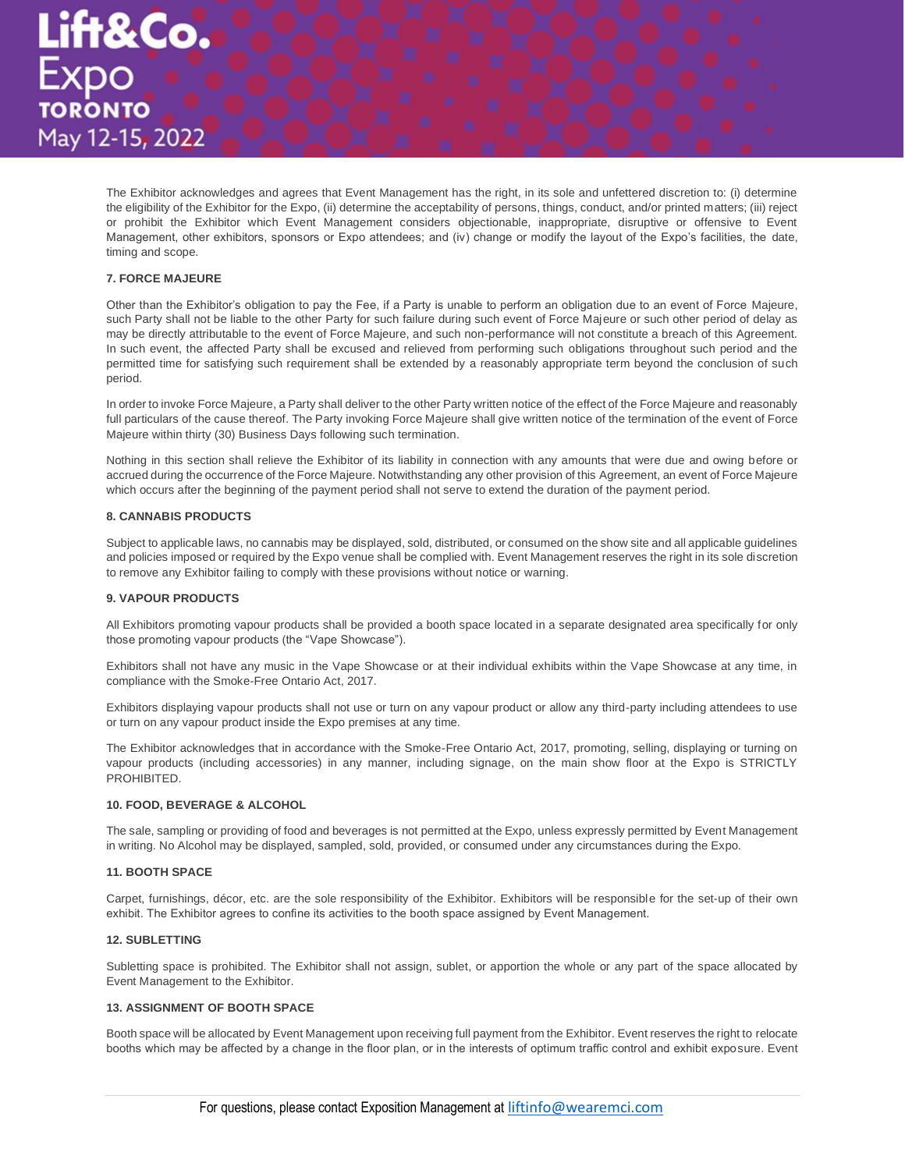

The Exhibitor acknowledges and agrees that Event Management has the right, in its sole and unfettered discretion to: (i) determine the eligibility of the Exhibitor for the Expo, (ii) determine the acceptability of persons, things, conduct, and/or printed matters; (iii) reject or prohibit the Exhibitor which Event Management considers objectionable, inappropriate, disruptive or offensive to Event Management, other exhibitors, sponsors or Expo attendees; and (iv) change or modify the layout of the Expo's facilities, the date, timing and scope.

# **7. FORCE MAJEURE**

Other than the Exhibitor's obligation to pay the Fee, if a Party is unable to perform an obligation due to an event of Force Majeure, such Party shall not be liable to the other Party for such failure during such event of Force Majeure or such other period of delay as may be directly attributable to the event of Force Majeure, and such non-performance will not constitute a breach of this Agreement. In such event, the affected Party shall be excused and relieved from performing such obligations throughout such period and the permitted time for satisfying such requirement shall be extended by a reasonably appropriate term beyond the conclusion of such period.

In order to invoke Force Majeure, a Party shall deliver to the other Party written notice of the effect of the Force Majeure and reasonably full particulars of the cause thereof. The Party invoking Force Majeure shall give written notice of the termination of the event of Force Majeure within thirty (30) Business Days following such termination.

Nothing in this section shall relieve the Exhibitor of its liability in connection with any amounts that were due and owing before or accrued during the occurrence of the Force Majeure. Notwithstanding any other provision of this Agreement, an event of Force Majeure which occurs after the beginning of the payment period shall not serve to extend the duration of the payment period.

# **8. CANNABIS PRODUCTS**

Subject to applicable laws, no cannabis may be displayed, sold, distributed, or consumed on the show site and all applicable guidelines and policies imposed or required by the Expo venue shall be complied with. Event Management reserves the right in its sole discretion to remove any Exhibitor failing to comply with these provisions without notice or warning.

#### **9. VAPOUR PRODUCTS**

All Exhibitors promoting vapour products shall be provided a booth space located in a separate designated area specifically for only those promoting vapour products (the "Vape Showcase").

Exhibitors shall not have any music in the Vape Showcase or at their individual exhibits within the Vape Showcase at any time, in compliance with the Smoke-Free Ontario Act, 2017.

Exhibitors displaying vapour products shall not use or turn on any vapour product or allow any third-party including attendees to use or turn on any vapour product inside the Expo premises at any time.

The Exhibitor acknowledges that in accordance with the Smoke-Free Ontario Act, 2017, promoting, selling, displaying or turning on vapour products (including accessories) in any manner, including signage, on the main show floor at the Expo is STRICTLY **PROHIBITED.** 

#### **10. FOOD, BEVERAGE & ALCOHOL**

The sale, sampling or providing of food and beverages is not permitted at the Expo, unless expressly permitted by Event Management in writing. No Alcohol may be displayed, sampled, sold, provided, or consumed under any circumstances during the Expo.

#### **11. BOOTH SPACE**

Carpet, furnishings, décor, etc. are the sole responsibility of the Exhibitor. Exhibitors will be responsible for the set-up of their own exhibit. The Exhibitor agrees to confine its activities to the booth space assigned by Event Management.

#### **12. SUBLETTING**

Subletting space is prohibited. The Exhibitor shall not assign, sublet, or apportion the whole or any part of the space allocated by Event Management to the Exhibitor.

# **13. ASSIGNMENT OF BOOTH SPACE**

Booth space will be allocated by Event Management upon receiving full payment from the Exhibitor. Event reserves the right to relocate booths which may be affected by a change in the floor plan, or in the interests of optimum traffic control and exhibit exposure. Event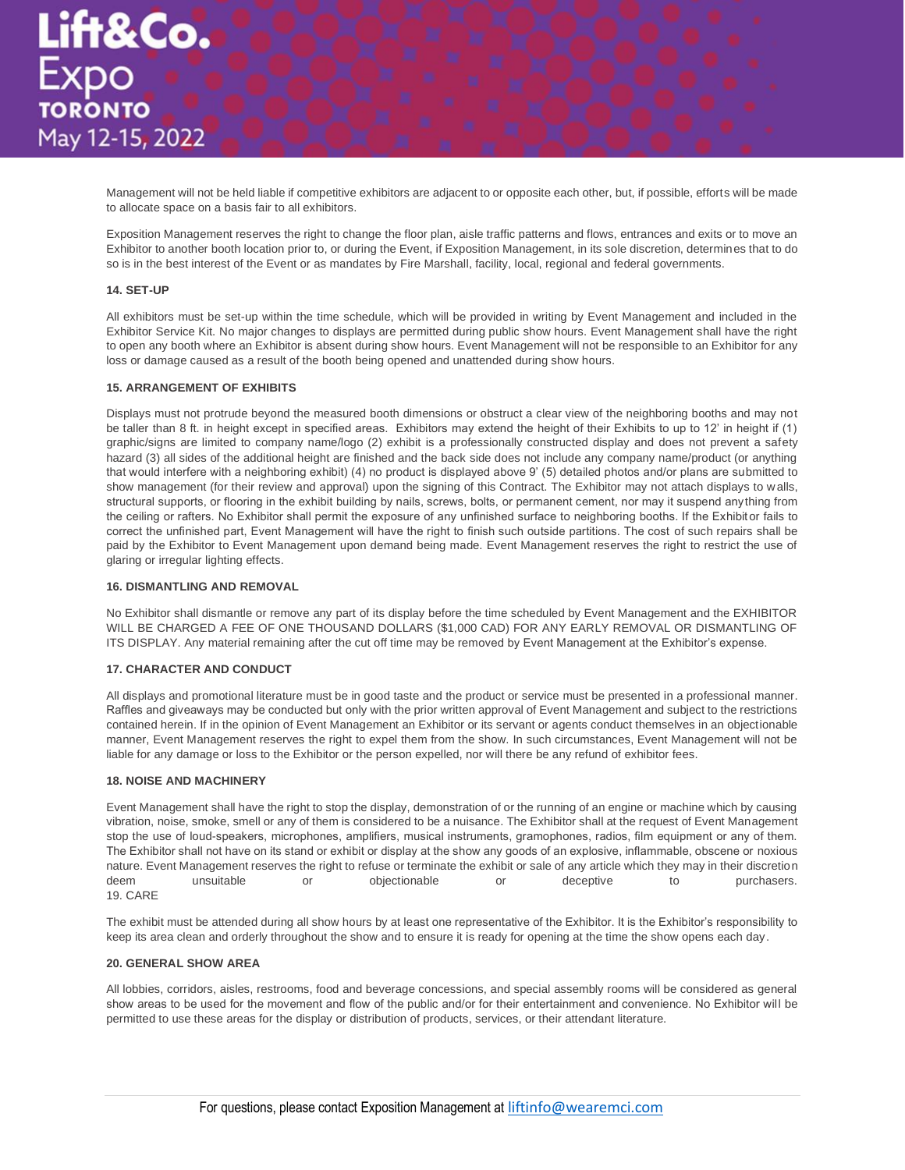Management will not be held liable if competitive exhibitors are adjacent to or opposite each other, but, if possible, efforts will be made to allocate space on a basis fair to all exhibitors.

Exposition Management reserves the right to change the floor plan, aisle traffic patterns and flows, entrances and exits or to move an Exhibitor to another booth location prior to, or during the Event, if Exposition Management, in its sole discretion, determines that to do so is in the best interest of the Event or as mandates by Fire Marshall, facility, local, regional and federal governments.

# **14. SET-UP**

All exhibitors must be set-up within the time schedule, which will be provided in writing by Event Management and included in the Exhibitor Service Kit. No major changes to displays are permitted during public show hours. Event Management shall have the right to open any booth where an Exhibitor is absent during show hours. Event Management will not be responsible to an Exhibitor for any loss or damage caused as a result of the booth being opened and unattended during show hours.

# **15. ARRANGEMENT OF EXHIBITS**

Displays must not protrude beyond the measured booth dimensions or obstruct a clear view of the neighboring booths and may not be taller than 8 ft. in height except in specified areas. Exhibitors may extend the height of their Exhibits to up to 12' in height if (1) graphic/signs are limited to company name/logo (2) exhibit is a professionally constructed display and does not prevent a safety hazard (3) all sides of the additional height are finished and the back side does not include any company name/product (or anything that would interfere with a neighboring exhibit) (4) no product is displayed above 9' (5) detailed photos and/or plans are submitted to show management (for their review and approval) upon the signing of this Contract. The Exhibitor may not attach displays to w alls, structural supports, or flooring in the exhibit building by nails, screws, bolts, or permanent cement, nor may it suspend anything from the ceiling or rafters. No Exhibitor shall permit the exposure of any unfinished surface to neighboring booths. If the Exhibitor fails to correct the unfinished part, Event Management will have the right to finish such outside partitions. The cost of such repairs shall be paid by the Exhibitor to Event Management upon demand being made. Event Management reserves the right to restrict the use of glaring or irregular lighting effects.

#### **16. DISMANTLING AND REMOVAL**

No Exhibitor shall dismantle or remove any part of its display before the time scheduled by Event Management and the EXHIBITOR WILL BE CHARGED A FEE OF ONE THOUSAND DOLLARS (\$1,000 CAD) FOR ANY EARLY REMOVAL OR DISMANTLING OF ITS DISPLAY. Any material remaining after the cut off time may be removed by Event Management at the Exhibitor's expense.

## **17. CHARACTER AND CONDUCT**

All displays and promotional literature must be in good taste and the product or service must be presented in a professional manner. Raffles and giveaways may be conducted but only with the prior written approval of Event Management and subject to the restrictions contained herein. If in the opinion of Event Management an Exhibitor or its servant or agents conduct themselves in an objectionable manner, Event Management reserves the right to expel them from the show. In such circumstances, Event Management will not be liable for any damage or loss to the Exhibitor or the person expelled, nor will there be any refund of exhibitor fees.

# **18. NOISE AND MACHINERY**

Event Management shall have the right to stop the display, demonstration of or the running of an engine or machine which by causing vibration, noise, smoke, smell or any of them is considered to be a nuisance. The Exhibitor shall at the request of Event Management stop the use of loud-speakers, microphones, amplifiers, musical instruments, gramophones, radios, film equipment or any of them. The Exhibitor shall not have on its stand or exhibit or display at the show any goods of an explosive, inflammable, obscene or noxious nature. Event Management reserves the right to refuse or terminate the exhibit or sale of any article which they may in their discretion deem unsuitable or objectionable or deceptive to purchasers. 19. CARE

The exhibit must be attended during all show hours by at least one representative of the Exhibitor. It is the Exhibitor's responsibility to keep its area clean and orderly throughout the show and to ensure it is ready for opening at the time the show opens each day.

#### **20. GENERAL SHOW AREA**

All lobbies, corridors, aisles, restrooms, food and beverage concessions, and special assembly rooms will be considered as general show areas to be used for the movement and flow of the public and/or for their entertainment and convenience. No Exhibitor will be permitted to use these areas for the display or distribution of products, services, or their attendant literature.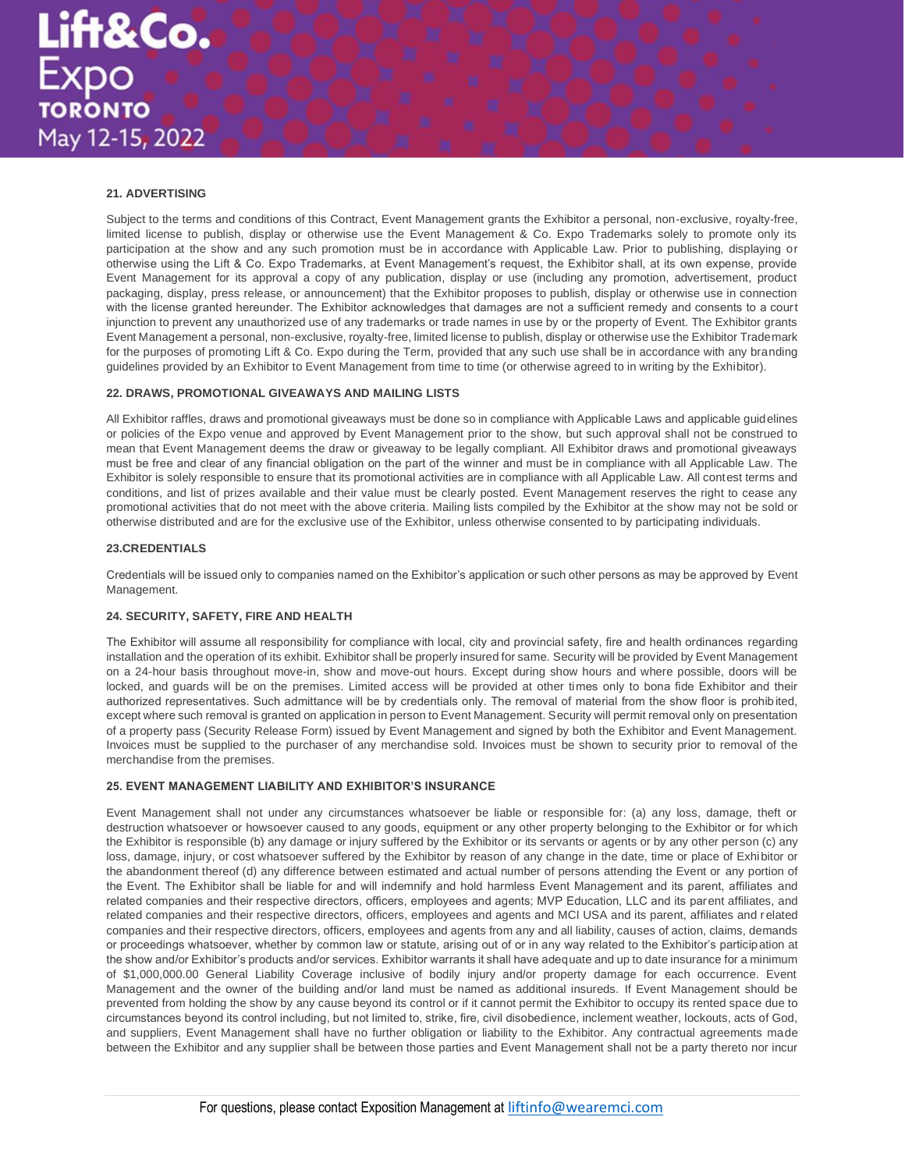# **21. ADVERTISING**

Subject to the terms and conditions of this Contract, Event Management grants the Exhibitor a personal, non-exclusive, royalty-free, limited license to publish, display or otherwise use the Event Management & Co. Expo Trademarks solely to promote only its participation at the show and any such promotion must be in accordance with Applicable Law. Prior to publishing, displaying or otherwise using the Lift & Co. Expo Trademarks, at Event Management's request, the Exhibitor shall, at its own expense, provide Event Management for its approval a copy of any publication, display or use (including any promotion, advertisement, product packaging, display, press release, or announcement) that the Exhibitor proposes to publish, display or otherwise use in connection with the license granted hereunder. The Exhibitor acknowledges that damages are not a sufficient remedy and consents to a court injunction to prevent any unauthorized use of any trademarks or trade names in use by or the property of Event. The Exhibitor grants Event Management a personal, non-exclusive, royalty-free, limited license to publish, display or otherwise use the Exhibitor Trademark for the purposes of promoting Lift & Co. Expo during the Term, provided that any such use shall be in accordance with any branding guidelines provided by an Exhibitor to Event Management from time to time (or otherwise agreed to in writing by the Exhibitor).

## **22. DRAWS, PROMOTIONAL GIVEAWAYS AND MAILING LISTS**

All Exhibitor raffles, draws and promotional giveaways must be done so in compliance with Applicable Laws and applicable guidelines or policies of the Expo venue and approved by Event Management prior to the show, but such approval shall not be construed to mean that Event Management deems the draw or giveaway to be legally compliant. All Exhibitor draws and promotional giveaways must be free and clear of any financial obligation on the part of the winner and must be in compliance with all Applicable Law. The Exhibitor is solely responsible to ensure that its promotional activities are in compliance with all Applicable Law. All contest terms and conditions, and list of prizes available and their value must be clearly posted. Event Management reserves the right to cease any promotional activities that do not meet with the above criteria. Mailing lists compiled by the Exhibitor at the show may not be sold or otherwise distributed and are for the exclusive use of the Exhibitor, unless otherwise consented to by participating individuals.

# **23.CREDENTIALS**

Credentials will be issued only to companies named on the Exhibitor's application or such other persons as may be approved by Event Management.

# **24. SECURITY, SAFETY, FIRE AND HEALTH**

The Exhibitor will assume all responsibility for compliance with local, city and provincial safety, fire and health ordinances regarding installation and the operation of its exhibit. Exhibitor shall be properly insured for same. Security will be provided by Event Management on a 24-hour basis throughout move-in, show and move-out hours. Except during show hours and where possible, doors will be locked, and guards will be on the premises. Limited access will be provided at other times only to bona fide Exhibitor and their authorized representatives. Such admittance will be by credentials only. The removal of material from the show floor is prohibited, except where such removal is granted on application in person to Event Management. Security will permit removal only on presentation of a property pass (Security Release Form) issued by Event Management and signed by both the Exhibitor and Event Management. Invoices must be supplied to the purchaser of any merchandise sold. Invoices must be shown to security prior to removal of the merchandise from the premises.

## **25. EVENT MANAGEMENT LIABILITY AND EXHIBITOR'S INSURANCE**

Event Management shall not under any circumstances whatsoever be liable or responsible for: (a) any loss, damage, theft or destruction whatsoever or howsoever caused to any goods, equipment or any other property belonging to the Exhibitor or for which the Exhibitor is responsible (b) any damage or injury suffered by the Exhibitor or its servants or agents or by any other person (c) any loss, damage, injury, or cost whatsoever suffered by the Exhibitor by reason of any change in the date, time or place of Exhibitor or the abandonment thereof (d) any difference between estimated and actual number of persons attending the Event or any portion of the Event. The Exhibitor shall be liable for and will indemnify and hold harmless Event Management and its parent, affiliates and related companies and their respective directors, officers, employees and agents; MVP Education, LLC and its parent affiliates, and related companies and their respective directors, officers, employees and agents and MCI USA and its parent, affiliates and related companies and their respective directors, officers, employees and agents from any and all liability, causes of action, claims, demands or proceedings whatsoever, whether by common law or statute, arising out of or in any way related to the Exhibitor's participation at the show and/or Exhibitor's products and/or services. Exhibitor warrants it shall have adequate and up to date insurance for a minimum of \$1,000,000.00 General Liability Coverage inclusive of bodily injury and/or property damage for each occurrence. Event Management and the owner of the building and/or land must be named as additional insureds. If Event Management should be prevented from holding the show by any cause beyond its control or if it cannot permit the Exhibitor to occupy its rented space due to circumstances beyond its control including, but not limited to, strike, fire, civil disobedience, inclement weather, lockouts, acts of God, and suppliers, Event Management shall have no further obligation or liability to the Exhibitor. Any contractual agreements made between the Exhibitor and any supplier shall be between those parties and Event Management shall not be a party thereto nor incur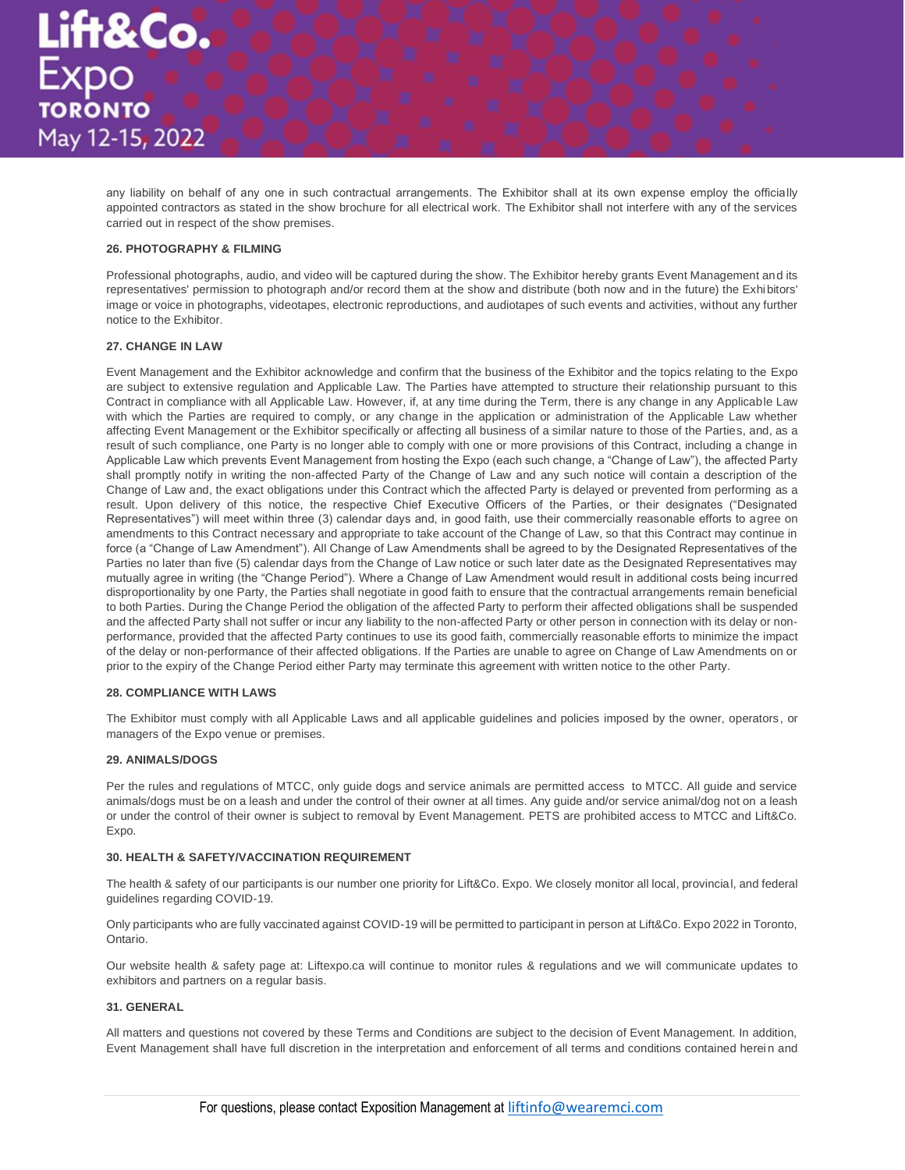

any liability on behalf of any one in such contractual arrangements. The Exhibitor shall at its own expense employ the officially appointed contractors as stated in the show brochure for all electrical work. The Exhibitor shall not interfere with any of the services carried out in respect of the show premises.

## **26. PHOTOGRAPHY & FILMING**

Professional photographs, audio, and video will be captured during the show. The Exhibitor hereby grants Event Management and its representatives' permission to photograph and/or record them at the show and distribute (both now and in the future) the Exhibitors' image or voice in photographs, videotapes, electronic reproductions, and audiotapes of such events and activities, without any further notice to the Exhibitor.

# **27. CHANGE IN LAW**

Event Management and the Exhibitor acknowledge and confirm that the business of the Exhibitor and the topics relating to the Expo are subject to extensive regulation and Applicable Law. The Parties have attempted to structure their relationship pursuant to this Contract in compliance with all Applicable Law. However, if, at any time during the Term, there is any change in any Applicable Law with which the Parties are required to comply, or any change in the application or administration of the Applicable Law whether affecting Event Management or the Exhibitor specifically or affecting all business of a similar nature to those of the Parties, and, as a result of such compliance, one Party is no longer able to comply with one or more provisions of this Contract, including a change in Applicable Law which prevents Event Management from hosting the Expo (each such change, a "Change of Law"), the affected Party shall promptly notify in writing the non-affected Party of the Change of Law and any such notice will contain a description of the Change of Law and, the exact obligations under this Contract which the affected Party is delayed or prevented from performing as a result. Upon delivery of this notice, the respective Chief Executive Officers of the Parties, or their designates ("Designated Representatives") will meet within three (3) calendar days and, in good faith, use their commercially reasonable efforts to agree on amendments to this Contract necessary and appropriate to take account of the Change of Law, so that this Contract may continue in force (a "Change of Law Amendment"). All Change of Law Amendments shall be agreed to by the Designated Representatives of the Parties no later than five (5) calendar days from the Change of Law notice or such later date as the Designated Representatives may mutually agree in writing (the "Change Period"). Where a Change of Law Amendment would result in additional costs being incurred disproportionality by one Party, the Parties shall negotiate in good faith to ensure that the contractual arrangements remain beneficial to both Parties. During the Change Period the obligation of the affected Party to perform their affected obligations shall be suspended and the affected Party shall not suffer or incur any liability to the non-affected Party or other person in connection with its delay or nonperformance, provided that the affected Party continues to use its good faith, commercially reasonable efforts to minimize the impact of the delay or non-performance of their affected obligations. If the Parties are unable to agree on Change of Law Amendments on or prior to the expiry of the Change Period either Party may terminate this agreement with written notice to the other Party.

# **28. COMPLIANCE WITH LAWS**

The Exhibitor must comply with all Applicable Laws and all applicable guidelines and policies imposed by the owner, operators, or managers of the Expo venue or premises.

#### **29. ANIMALS/DOGS**

Per the rules and regulations of MTCC, only guide dogs and service animals are permitted access to MTCC. All guide and service animals/dogs must be on a leash and under the control of their owner at all times. Any guide and/or service animal/dog not on a leash or under the control of their owner is subject to removal by Event Management. PETS are prohibited access to MTCC and Lift&Co. Expo.

#### **30. HEALTH & SAFETY/VACCINATION REQUIREMENT**

The health & safety of our participants is our number one priority for Lift&Co. Expo. We closely monitor all local, provincial, and federal guidelines regarding COVID-19.

Only participants who are fully vaccinated against COVID-19 will be permitted to participant in person at Lift&Co. Expo 2022 in Toronto, Ontario.

Our website health & safety page at: Liftexpo.ca will continue to monitor rules & regulations and we will communicate updates to exhibitors and partners on a regular basis.

#### **31. GENERAL**

All matters and questions not covered by these Terms and Conditions are subject to the decision of Event Management. In addition, Event Management shall have full discretion in the interpretation and enforcement of all terms and conditions contained herein and